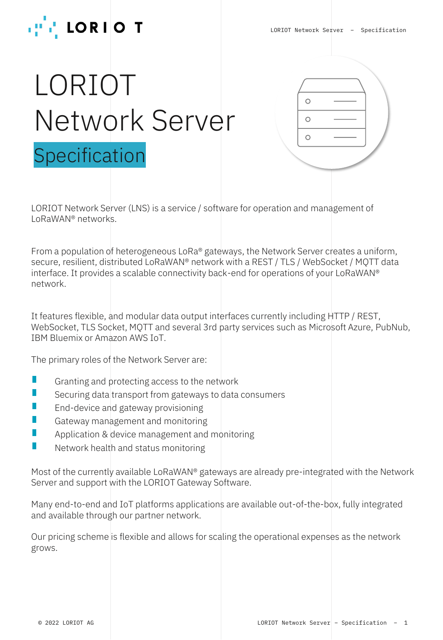

# LORIOT Network Server Specification



LORIOT Network Server (LNS) is a service / software for operation and management of LoRaWAN® networks.

From a population of heterogeneous LoRa® gateways, the Network Server creates a uniform, secure, resilient, distributed LoRaWAN® network with a REST / TLS / WebSocket / MQTT data interface. It provides a scalable connectivity back-end for operations of your LoRaWAN® network.

It features flexible, and modular data output interfaces currently including HTTP / REST, WebSocket, TLS Socket, MQTT and several 3rd party services such as Microsoft Azure, PubNub, IBM Bluemix or Amazon AWS IoT.

The primary roles of the Network Server are:

- D Granting and protecting access to the network
- Г Securing data transport from gateways to data consumers
- Π End-device and gateway provisioning
- П Gateway management and monitoring
- n Application & device management and monitoring
- Network health and status monitoring

Most of the currently available LoRaWAN® gateways are already pre-integrated with the Network Server and support with the LORIOT Gateway Software.

Many end-to-end and IoT platforms applications are available out-of-the-box, fully integrated and available through our partner network.

Our pricing scheme is flexible and allows for scaling the operational expenses as the network grows.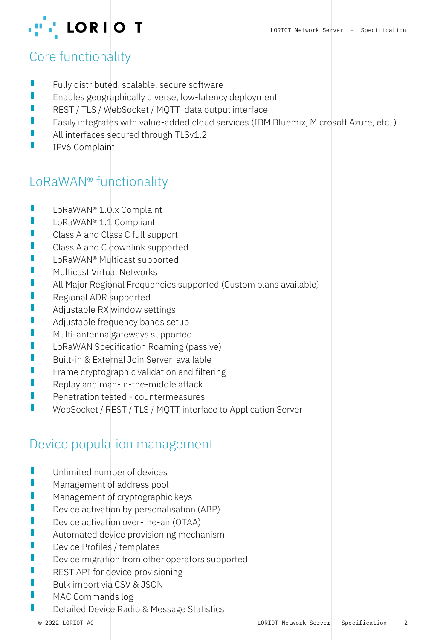

# Core functionality

- П Fully distributed, scalable, secure software
- $\mathbb{R}^3$ Enables geographically diverse, low-latency deployment
- REST / TLS / WebSocket / MQTT data output interface
- Easily integrates with value-added cloud services (IBM Bluemix, Microsoft Azure, etc. )
- All interfaces secured through TLSv1.2
- $\mathcal{L}_{\mathcal{A}}$ IPv6 Complaint

# LoRaWAN® functionality

- $\overline{\mathcal{L}}$ LoRaWAN® 1.0.x Complaint
- LoRaWAN® 1.1 Compliant
- Class A and Class C full support
- $\mathbb{R}^2$ Class A and C downlink supported
- $\mathbb{R}^2$ LoRaWAN® Multicast supported
- Multicast Virtual Networks
- П All Major Regional Frequencies supported (Custom plans available)
- Regional ADR supported
- $\mathcal{L}_{\mathcal{A}}$ Adjustable RX window settings
- Adjustable frequency bands setup
- H Multi-antenna gateways supported
- $\mathbb{R}^2$ LoRaWAN Specification Roaming (passive)
- $\Box$ Built-in & External Join Server available
- Frame cryptographic validation and filtering
- Replay and man-in-the-middle attack
- $\Box$ Penetration tested - countermeasures
- WebSocket / REST / TLS / MQTT interface to Application Server

# Device population management

- $\Box$ Unlimited number of devices
- Management of address pool
- Management of cryptographic keys
- Device activation by personalisation (ABP)
- $\mathcal{L}_{\mathcal{A}}$ Device activation over-the-air (OTAA)
- Automated device provisioning mechanism
- Device Profiles / templates
- Device migration from other operators supported
- $\mathbb{R}^2$ REST API for device provisioning
- П Bulk import via CSV & JSON
- $\Box$ MAC Commands log
- П Detailed Device Radio & Message Statistics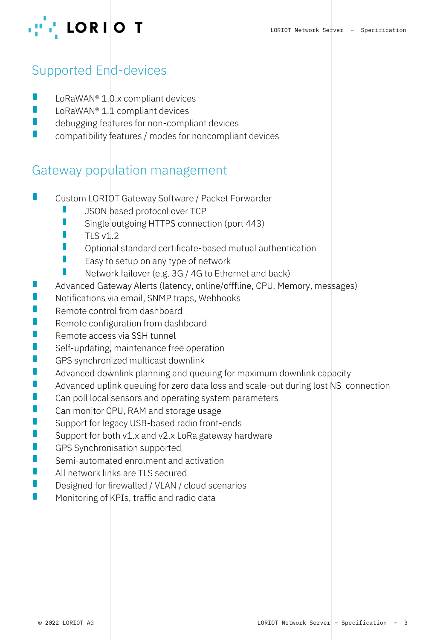

# Supported End-devices

- $\mathcal{L}_{\mathcal{A}}$ LoRaWAN® 1.0.x compliant devices
- LoRaWAN® 1.1 compliant devices
- debugging features for non-compliant devices
- $\Box$ compatibility features / modes for noncompliant devices

#### Gateway population management

- H Custom LORIOT Gateway Software / Packet Forwarder
	- JSON based protocol over TCP
	- П Single outgoing HTTPS connection (port 443)
	- $\mathcal{L}_{\mathcal{A}}$  $TI$  S v1.2
	- Optional standard certificate-based mutual authentication
	- $\mathcal{L}_{\mathcal{A}}$ Easy to setup on any type of network
	- Network failover (e.g. 3G / 4G to Ethernet and back)
- $\overline{\mathcal{L}}$ Advanced Gateway Alerts (latency, online/offfline, CPU, Memory, messages)
- Notifications via email, SNMP traps, Webhooks
- Remote control from dashboard
- Remote configuration from dashboard
- Remote access via SSH tunnel
- Self-updating, maintenance free operation
- $\mathcal{L}_{\mathcal{A}}$ GPS synchronized multicast downlink
- Advanced downlink planning and queuing for maximum downlink capacity
- $\overline{\mathcal{L}}$ Advanced uplink queuing for zero data loss and scale-out during lost NS connection
- $\mathcal{L}_{\mathcal{A}}$ Can poll local sensors and operating system parameters
- $\Box$ Can monitor CPU, RAM and storage usage
- Support for legacy USB-based radio front-ends
- Support for both v1.x and v2.x LoRa gateway hardware
- GPS Synchronisation supported
- Semi-automated enrolment and activation
- All network links are TLS secured
- $\Box$ Designed for firewalled / VLAN / cloud scenarios
- П Monitoring of KPIs, traffic and radio data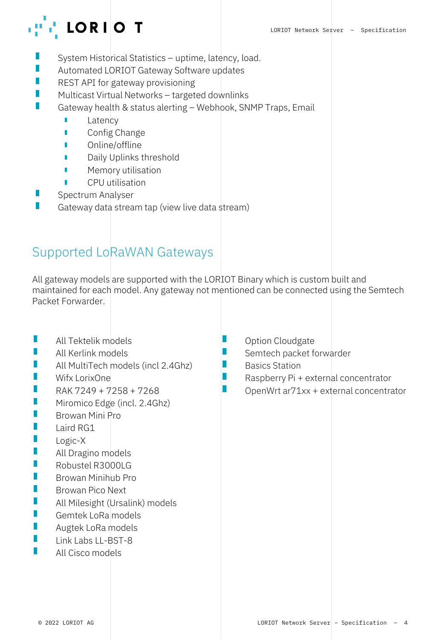

- System Historical Statistics uptime, latency, load.
- Automated LORIOT Gateway Software updates П
- Π REST API for gateway provisioning
- П Multicast Virtual Networks – targeted downlinks
- П Gateway health & status alerting – Webhook, SNMP Traps, Email
	- Ľ Latency
	- ń Config Change
	- ń Online/offline
	- Daily Uplinks threshold
	- n Memory utilisation
	- ń CPU utilisation
- П Spectrum Analyser
- П Gateway data stream tap (view live data stream)

#### Supported LoRaWAN Gateways

All gateway models are supported with the LORIOT Binary which is custom built and maintained for each model. Any gateway not mentioned can be connected using the Semtech Packet Forwarder.

П

П

- П All Tektelik models
- П All Kerlink models
- П All MultiTech models (incl 2.4Ghz)
- U Wifx LorixOne
- U RAK 7249 + 7258 + 7268
- П Miromico Edge (incl. 2.4Ghz)
- $\mathbb{R}^2$ Browan Mini Pro
- П Laird RG1
- $\mathbb{R}^2$ Logic-X
- П All Dragino models
- U Robustel R3000LG
- П Browan Minihub Pro
- $\overline{\mathcal{C}}$ Browan Pico Next
- П All Milesight (Ursalink) models
- U Gemtek LoRa models
- П Augtek LoRa models
- П Link Labs LL-BST-8
- П All Cisco models
- Option Cloudgate
- Semtech packet forwarder
- П Basics Station
- П Raspberry Pi + external concentrator
- П OpenWrt ar71xx + external concentrator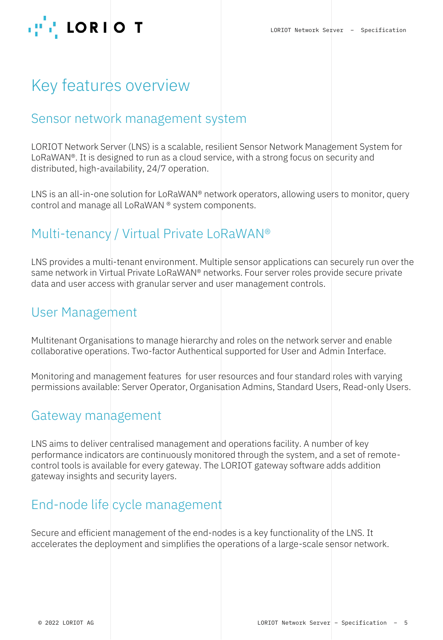

# Key features overview

#### Sensor network management system

LORIOT Network Server (LNS) is a scalable, resilient Sensor Network Management System for LoRaWAN®. It is designed to run as a cloud service, with a strong focus on security and distributed, high-availability, 24/7 operation.

LNS is an all-in-one solution for LoRaWAN<sup>®</sup> network operators, allowing users to monitor, query control and manage all LoRaWAN ® system components.

# Multi-tenancy / Virtual Private LoRaWAN®

LNS provides a multi-tenant environment. Multiple sensor applications can securely run over the same network in Virtual Private LoRaWAN® networks. Four server roles provide secure private data and user access with granular server and user management controls.

#### User Management

Multitenant Organisations to manage hierarchy and roles on the network server and enable collaborative operations. Two-factor Authentical supported for User and Admin Interface.

Monitoring and management features for user resources and four standard roles with varying permissions available: Server Operator, Organisation Admins, Standard Users, Read-only Users.

#### Gateway management

LNS aims to deliver centralised management and operations facility. A number of key performance indicators are continuously monitored through the system, and a set of remotecontrol tools is available for every gateway. The LORIOT gateway software adds addition gateway insights and security layers.

# End-node life cycle management

Secure and efficient management of the end-nodes is a key functionality of the LNS. It accelerates the deployment and simplifies the operations of a large-scale sensor network.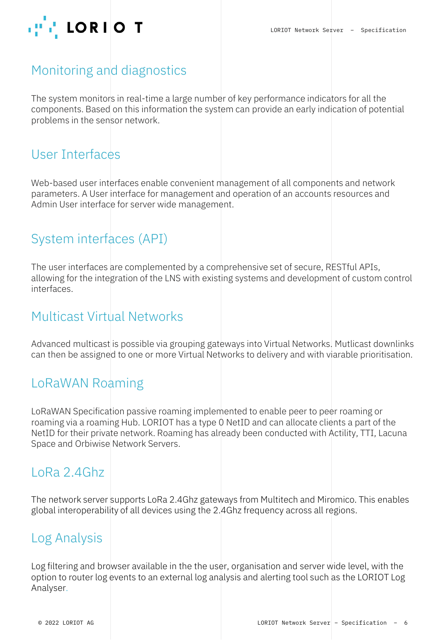

# Monitoring and diagnostics

The system monitors in real-time a large number of key performance indicators for all the components. Based on this information the system can provide an early indication of potential problems in the sensor network.

#### User Interfaces

Web-based user interfaces enable convenient management of all components and network parameters. A User interface for management and operation of an accounts resources and Admin User interface for server wide management.

# System interfaces (API)

The user interfaces are complemented by a comprehensive set of secure, RESTful APIs, allowing for the integration of the LNS with existing systems and development of custom control interfaces.

#### Multicast Virtual Networks

Advanced multicast is possible via grouping gateways into Virtual Networks. Mutlicast downlinks can then be assigned to one or more Virtual Networks to delivery and with viarable prioritisation.

#### LoRaWAN Roaming

LoRaWAN Specification passive roaming implemented to enable peer to peer roaming or roaming via a roaming Hub. LORIOT has a type 0 NetID and can allocate clients a part of the NetID for their private network. Roaming has already been conducted with Actility, TTI, Lacuna Space and Orbiwise Network Servers.

# LoRa 2.4Ghz

The network server supports LoRa 2.4Ghz gateways from Multitech and Miromico. This enables global interoperability of all devices using the 2.4Ghz frequency across all regions.

#### Log Analysis

Log filtering and browser available in the the user, organisation and server wide level, with the option to router log events to an external log analysis and alerting tool such as the LORIOT Log Analyser.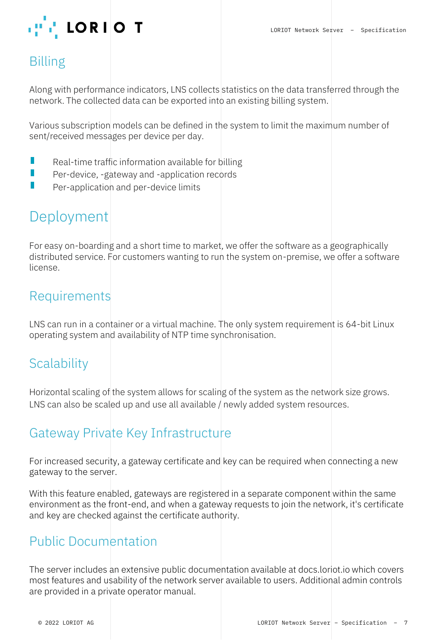

# Billing

Along with performance indicators, LNS collects statistics on the data transferred through the network. The collected data can be exported into an existing billing system.

Various subscription models can be defined in the system to limit the maximum number of sent/received messages per device per day.

- П Real-time traffic information available for billing
- H Per-device, -gateway and -application records
- $\mathbb{R}^2$ Per-application and per-device limits

# Deployment

For easy on-boarding and a short time to market, we offer the software as a geographically distributed service. For customers wanting to run the system on-premise, we offer a software license.

#### Requirements

LNS can run in a container or a virtual machine. The only system requirement is 64-bit Linux operating system and availability of NTP time synchronisation.

# **Scalability**

Horizontal scaling of the system allows for scaling of the system as the network size grows. LNS can also be scaled up and use all available / newly added system resources.

# Gateway Private Key Infrastructure

For increased security, a gateway certificate and key can be required when connecting a new gateway to the server.

With this feature enabled, gateways are registered in a separate component within the same environment as the front-end, and when a gateway requests to join the network, it's certificate and key are checked against the certificate authority.

#### Public Documentation

The server includes an extensive public documentation available at docs.loriot.io which covers most features and usability of the network server available to users. Additional admin controls are provided in a private operator manual.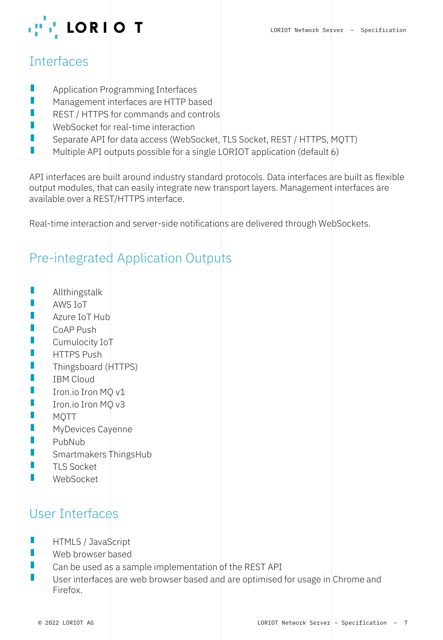

### **Interfaces**

- $\overline{\phantom{a}}$ Application Programming Interfaces
- $\mathbb{R}^2$ Management interfaces are HTTP based
- П REST / HTTPS for commands and controls
- $\mathbb{R}^2$ WebSocket for real-time interaction
- Н Separate API for data access (WebSocket, TLS Socket, REST / HTTPS, MQTT)
- $\Box$ Multiple API outputs possible for a single LORIOT application (default 6)

API interfaces are built around industry standard protocols. Data interfaces are built as flexible output modules, that can easily integrate new transport layers. Management interfaces are available over a REST/HTTPS interface.

Real-time interaction and server-side notifications are delivered through WebSockets.

# Pre-integrated Application Outputs

- П Allthingstalk
- $\mathbb{R}^2$ AWS IoT
- П Azure IoT Hub
- $\mathbb{R}^2$ CoAP Push
- $\mathbb{R}^2$ Cumulocity IoT
- П HTTPS Push
- П Thingsboard (HTTPS)
- П IBM Cloud
- $\mathbb{R}^2$ Iron.io Iron MQ v1
- Н Iron.io Iron MQ v3
- П MQTT
- MyDevices Cayenne
- $\mathbb{R}^2$ PubNub
- Smartmakers ThingsHub
- $\mathbb{R}^2$ TLS Socket
- $\Box$ WebSocket

# User Interfaces

- П HTML5 / JavaScript
- П Web browser based
- П Can be used as a sample implementation of the REST API
- $\Box$ User interfaces are web browser based and are optimised for usage in Chrome and Firefox.